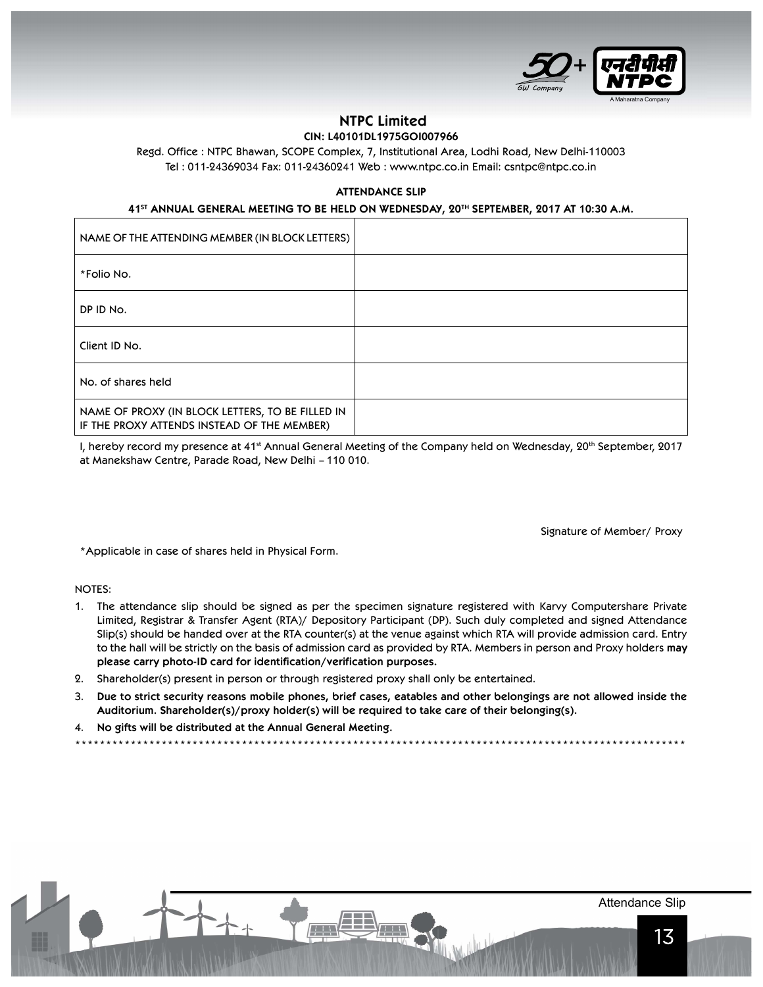

# NTPC Limited

## CIN: L40101DL1975GOI007966

Regd. Office : NTPC Bhawan, SCOPE Complex, 7, Institutional Area, Lodhi Road, New Delhi-110003 Tel : 011-24369034 Fax: 011-24360241 Web : www.ntpc.co.in Email: csntpc@ntpc.co.in

#### ATTENDANCE SLIP

### 41<sup>ST</sup> ANNUAL GENERAL MEETING TO BE HELD ON WEDNESDAY, 20<sup>TH</sup> SEPTEMBER, 2017 AT 10:30 A.M.

| NAME OF THE ATTENDING MEMBER (IN BLOCK LETTERS)                                                 |  |
|-------------------------------------------------------------------------------------------------|--|
| *Folio No.                                                                                      |  |
| DP ID No.                                                                                       |  |
| Client ID No.                                                                                   |  |
| No. of shares held                                                                              |  |
| NAME OF PROXY (IN BLOCK LETTERS, TO BE FILLED IN<br>IF THE PROXY ATTENDS INSTEAD OF THE MEMBER) |  |

I, hereby record my presence at 41<sup>st</sup> Annual General Meeting of the Company held on Wednesday, 20<sup>th</sup> September, 2017 at Manekshaw Centre, Parade Road, New Delhi – 110 010.

Signature of Member/ Proxy

\*Applicable in case of shares held in Physical Form.

NOTES:

- 1. The attendance slip should be signed as per the specimen signature registered with Karvy Computershare Private Limited, Registrar & Transfer Agent (RTA)/ Depository Participant (DP). Such duly completed and signed Attendance Slip(s) should be handed over at the RTA counter(s) at the venue against which RTA will provide admission card. Entry to the hall will be strictly on the basis of admission card as provided by RTA. Members in person and Proxy holders may please carry photo-ID card for identification/verification purposes.
- 2. Shareholder(s) present in person or through registered proxy shall only be entertained.

 $\sqrt{1+1}$ 

3. Due to strict security reasons mobile phones, brief cases, eatables and other belongings are not allowed inside the Auditorium. Shareholder(s)/proxy holder(s) will be required to take care of their belonging(s).

\*\*\*\*\*\*\*\*\*\*\*\*\*\*\*\*\*\*\*\*\*\*\*\*\*\*\*\*\*\*\*\*\*\*\*\*\*\*\*\*\*\*\*\*\*\*\*\*\*\*\*\*\*\*\*\*\*\*\*\*\*\*\*\*\*\*\*\*\*\*\*\*\*\*\*\*\*\*\*\*\*\*\*\*\*\*\*\*\*\*\*\*\*\*\*\*\*\*\*

E TANK

4. No gifts will be distributed at the Annual General Meeting.

Attendance Slip

13